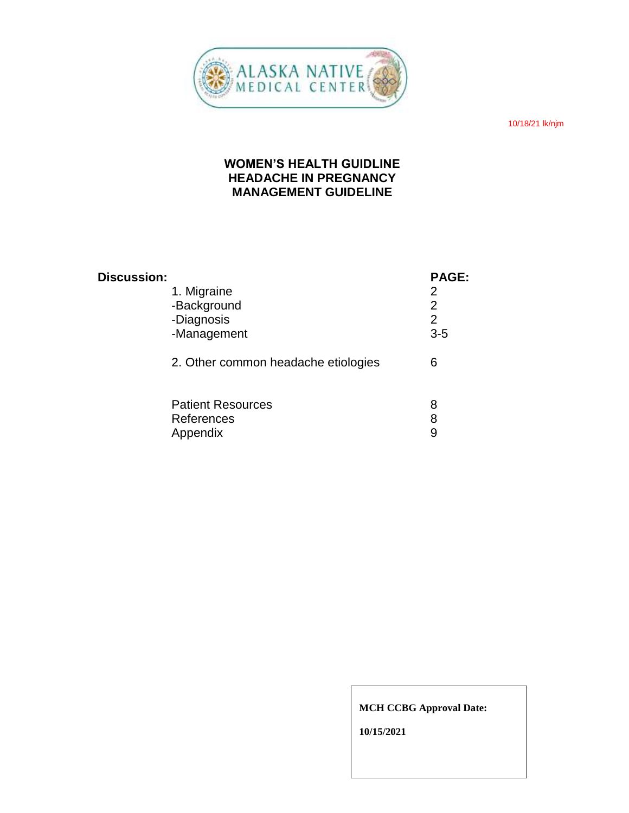

10/18/21 lk/njm

# **WOMEN'S HEALTH GUIDLINE HEADACHE IN PREGNANCY MANAGEMENT GUIDELINE**

| <b>Discussion:</b> |                                     | PAGE:          |
|--------------------|-------------------------------------|----------------|
|                    | 1. Migraine                         | 2              |
|                    | -Background                         | 2              |
|                    | -Diagnosis                          | $\overline{2}$ |
|                    | -Management                         | $3-5$          |
|                    | 2. Other common headache etiologies | 6              |
|                    | <b>Patient Resources</b>            | 8              |
|                    | References                          | 8              |
|                    | Appendix                            | 9              |

#### **MCH CCBG Approval Date:**

**10/15/2021**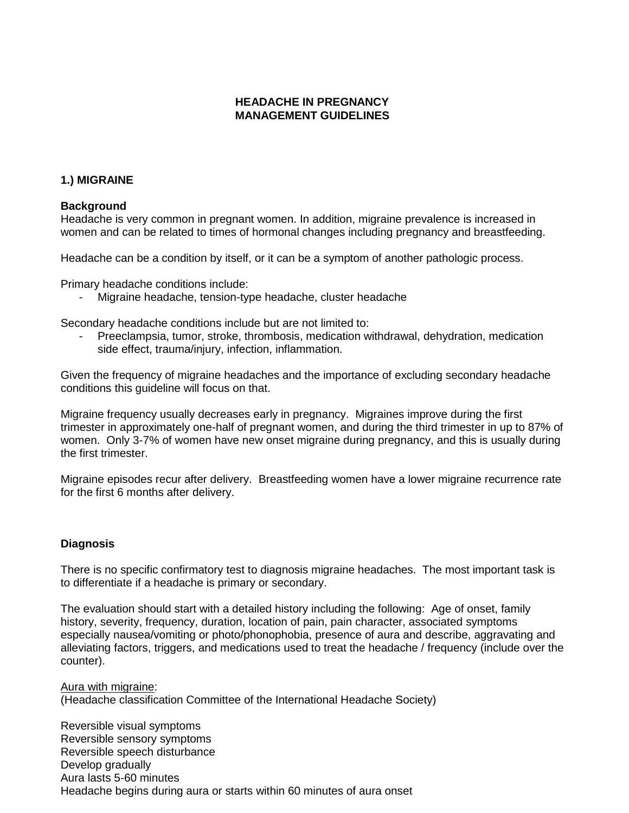### **HEADACHE IN PREGNANCY MANAGEMENT GUIDELINES**

### **1.) MIGRAINE**

#### **Background**

Headache is very common in pregnant women. In addition, migraine prevalence is increased in women and can be related to times of hormonal changes including pregnancy and breastfeeding.

Headache can be a condition by itself, or it can be a symptom of another pathologic process.

Primary headache conditions include:

Migraine headache, tension-type headache, cluster headache

Secondary headache conditions include but are not limited to:

- Preeclampsia, tumor, stroke, thrombosis, medication withdrawal, dehydration, medication side effect, trauma/injury, infection, inflammation.

Given the frequency of migraine headaches and the importance of excluding secondary headache conditions this guideline will focus on that.

Migraine frequency usually decreases early in pregnancy. Migraines improve during the first trimester in approximately one-half of pregnant women, and during the third trimester in up to 87% of women. Only 3-7% of women have new onset migraine during pregnancy, and this is usually during the first trimester.

Migraine episodes recur after delivery. Breastfeeding women have a lower migraine recurrence rate for the first 6 months after delivery.

#### **Diagnosis**

There is no specific confirmatory test to diagnosis migraine headaches. The most important task is to differentiate if a headache is primary or secondary.

The evaluation should start with a detailed history including the following: Age of onset, family history, severity, frequency, duration, location of pain, pain character, associated symptoms especially nausea/vomiting or photo/phonophobia, presence of aura and describe, aggravating and alleviating factors, triggers, and medications used to treat the headache / frequency (include over the counter).

Aura with migraine: (Headache classification Committee of the International Headache Society)

Reversible visual symptoms Reversible sensory symptoms Reversible speech disturbance Develop gradually Aura lasts 5-60 minutes Headache begins during aura or starts within 60 minutes of aura onset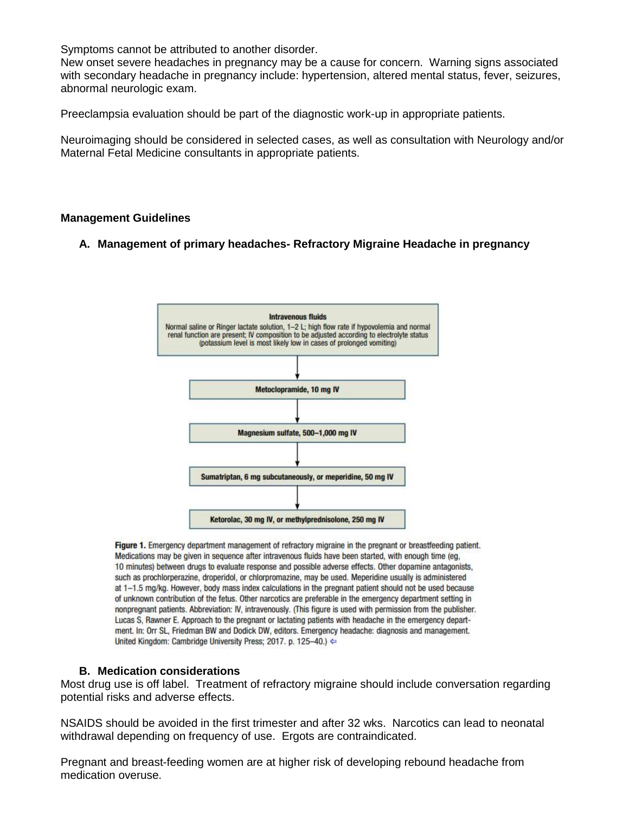Symptoms cannot be attributed to another disorder.

New onset severe headaches in pregnancy may be a cause for concern. Warning signs associated with secondary headache in pregnancy include: hypertension, altered mental status, fever, seizures, abnormal neurologic exam.

Preeclampsia evaluation should be part of the diagnostic work-up in appropriate patients.

Neuroimaging should be considered in selected cases, as well as consultation with Neurology and/or Maternal Fetal Medicine consultants in appropriate patients.

#### **Management Guidelines**

### **A. Management of primary headaches- Refractory Migraine Headache in pregnancy**



Figure 1. Emergency department management of refractory migraine in the pregnant or breastfeeding patient. Medications may be given in sequence after intravenous fluids have been started, with enough time (eg. 10 minutes) between drugs to evaluate response and possible adverse effects. Other dopamine antagonists, such as prochlorperazine, droperidol, or chlorpromazine, may be used. Meperidine usually is administered at 1-1.5 mg/kg. However, body mass index calculations in the pregnant patient should not be used because of unknown contribution of the fetus. Other narcotics are preferable in the emergency department setting in nonpregnant patients. Abbreviation: IV, intravenously. (This figure is used with permission from the publisher. Lucas S, Rawner E. Approach to the pregnant or lactating patients with headache in the emergency department. In: Orr SL, Friedman BW and Dodick DW, editors. Emergency headache: diagnosis and management. United Kingdom: Cambridge University Press; 2017. p. 125-40.) ←

### **B. Medication considerations**

Most drug use is off label. Treatment of refractory migraine should include conversation regarding potential risks and adverse effects.

NSAIDS should be avoided in the first trimester and after 32 wks. Narcotics can lead to neonatal withdrawal depending on frequency of use. Ergots are contraindicated.

Pregnant and breast-feeding women are at higher risk of developing rebound headache from medication overuse.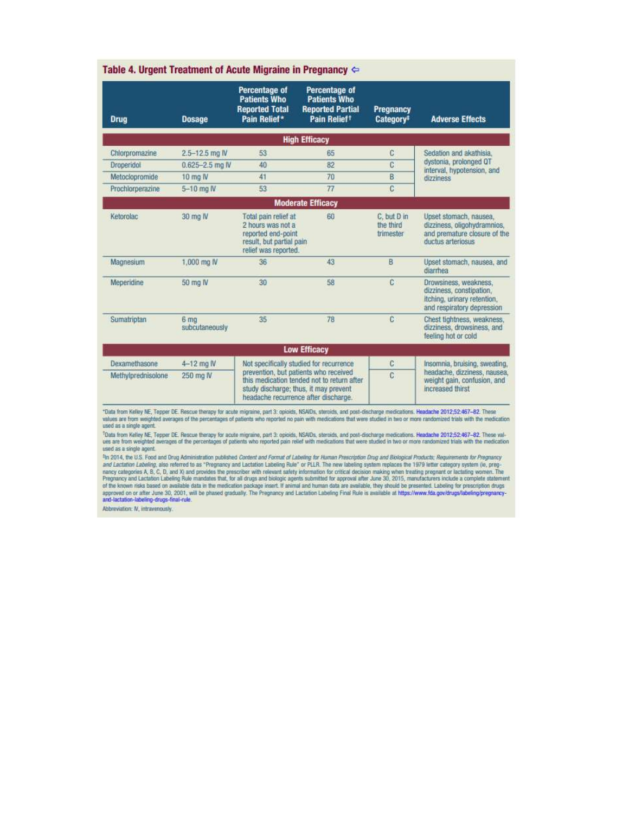| <b>Drug</b>        | <b>Dosage</b>                     | Percentage of<br><b>Patients Who</b><br><b>Reported Total</b><br>Pain Relief*                                                                                        | Percentage of<br><b>Patients Who</b><br><b>Reported Partial</b><br>Pain Relief <sup>t</sup> | Pregnancy<br>Category <sup>t</sup>    | <b>Adverse Effects</b>                                                                                         |
|--------------------|-----------------------------------|----------------------------------------------------------------------------------------------------------------------------------------------------------------------|---------------------------------------------------------------------------------------------|---------------------------------------|----------------------------------------------------------------------------------------------------------------|
|                    |                                   |                                                                                                                                                                      | <b>High Efficacy</b>                                                                        |                                       |                                                                                                                |
| Chlorpromazine     | $2.5 - 12.5$ mg IV                | 53                                                                                                                                                                   | 65                                                                                          | C                                     | Sedation and akathisia.                                                                                        |
| <b>Droperidol</b>  | $0.625 - 2.5$ ma IV               | 40                                                                                                                                                                   | 82                                                                                          | C                                     | dystonia, prolonged QT<br>interval, hypotension, and                                                           |
| Metoclopromide     | 10 mo IV                          | 41                                                                                                                                                                   | 70                                                                                          | B                                     | dizziness                                                                                                      |
| Prochlorperazine   | 5-10 mg N                         | 53                                                                                                                                                                   | 77                                                                                          | $\overline{c}$                        |                                                                                                                |
|                    |                                   |                                                                                                                                                                      | <b>Moderate Efficacy</b>                                                                    |                                       |                                                                                                                |
| Ketorolac          | 30 mg IV                          | Total pain relief at<br>2 hours was not a<br>reported end-point<br>result, but partial pain<br>relief was reported.                                                  | 60                                                                                          | C. but D in<br>the third<br>trimester | Upset stomach, nausea,<br>dizziness, oligohydramnios,<br>and premature closure of the<br>ductus arteriosus     |
| Magnesium          | 1,000 mg IV                       | 36                                                                                                                                                                   | 43                                                                                          | B                                     | Upset stomach, nausea, and<br>diarrhea                                                                         |
| Meperidine         | 50 mg IV                          | 30                                                                                                                                                                   | 58                                                                                          | C                                     | Drowsiness, weakness,<br>dizziness, constipation,<br>itching, urinary retention,<br>and respiratory depression |
| Sumatriptan        | 6 <sub>ma</sub><br>subcutaneously | 35                                                                                                                                                                   | 78                                                                                          | C                                     | Chest tightness, weakness,<br>dizziness, drowsiness, and<br>feeling hot or cold                                |
|                    |                                   |                                                                                                                                                                      | <b>Low Efficacy</b>                                                                         |                                       |                                                                                                                |
| Dexamethasone      | $4-12$ mg $N$                     | Not specifically studied for recurrence                                                                                                                              |                                                                                             | C                                     | Insomnia, bruising, sweating,                                                                                  |
| Methylprednisolone | 250 mg IV                         | prevention, but patients who received<br>this medication tended not to return after<br>study discharge; thus, it may prevent<br>headache recurrence after discharge. |                                                                                             | C                                     | headache, dizziness, nausea,<br>weight gain, confusion, and<br>increased thirst                                |

ues are from weighted averages of the percentages of patients who reported pain relief with medications that were studied in two or more randomized trials with the medication used as a single agent.

the 2014, the U.S. Food and Drug Administration published Content and Format of Labeling for Human Prescription Drug and Biological Products: Requirements for Pregnancy<br>And Lactation Labeling, also referred to as "Pregnanc

Abbreviation: N, intravenously.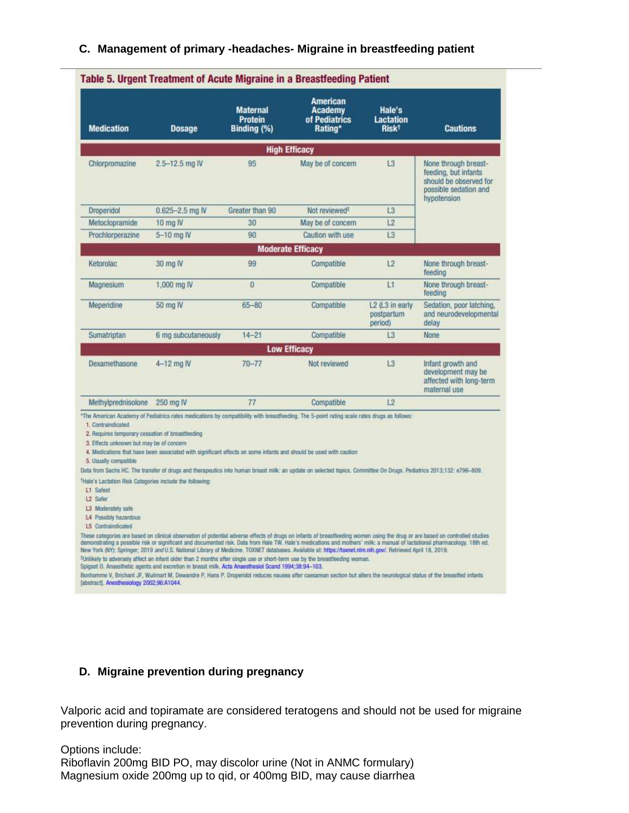### **C. Management of primary -headaches- Migraine in breastfeeding patient**

| <b>Medication</b>                                                                                                                                                                                                                                                                                       | <b>Dosage</b>                                                                                                     | <b>Maternal</b><br><b>Protein</b><br>Binding (%) | American<br><b>Academy</b><br>of Pediatrics<br>Rating*                                                                                                              | Hale's<br>Lactation<br>Risk <sup>†</sup> | <b>Cautions</b>                                                                                                |
|---------------------------------------------------------------------------------------------------------------------------------------------------------------------------------------------------------------------------------------------------------------------------------------------------------|-------------------------------------------------------------------------------------------------------------------|--------------------------------------------------|---------------------------------------------------------------------------------------------------------------------------------------------------------------------|------------------------------------------|----------------------------------------------------------------------------------------------------------------|
|                                                                                                                                                                                                                                                                                                         |                                                                                                                   |                                                  | <b>High Efficacy</b>                                                                                                                                                |                                          |                                                                                                                |
| Chlorpromazine                                                                                                                                                                                                                                                                                          | 2.5-12.5 mg IV                                                                                                    | 95                                               | May be of concern                                                                                                                                                   | L <sub>3</sub>                           | None through breast-<br>feeding, but infants<br>should be observed for<br>possible sedation and<br>hypotension |
| Droperidol                                                                                                                                                                                                                                                                                              | $0.625 - 2.5$ mg IV                                                                                               | Greater than 90                                  | Not reviewed <sup>1</sup>                                                                                                                                           | L <sub>3</sub>                           |                                                                                                                |
| Metoclopramide                                                                                                                                                                                                                                                                                          | 10 mg IV                                                                                                          | 30                                               | May be of concern                                                                                                                                                   | 12                                       |                                                                                                                |
| Prochlorperazine                                                                                                                                                                                                                                                                                        | 5-10 mg IV                                                                                                        | 90                                               | Caution with use                                                                                                                                                    | L <sub>3</sub>                           |                                                                                                                |
|                                                                                                                                                                                                                                                                                                         |                                                                                                                   |                                                  | <b>Moderate Efficacy</b>                                                                                                                                            |                                          |                                                                                                                |
| Ketorolac                                                                                                                                                                                                                                                                                               | 30 mg IV                                                                                                          | 99                                               | Compatible                                                                                                                                                          | L2                                       | None through breast-<br>feeding                                                                                |
| Magnesium                                                                                                                                                                                                                                                                                               | 1,000 mg IV                                                                                                       | 0                                                | Compatible                                                                                                                                                          | L1                                       | None through breast-<br>feeding                                                                                |
| Meperidine                                                                                                                                                                                                                                                                                              | 50 mg IV                                                                                                          | $65 - 80$                                        | Compatible                                                                                                                                                          | L2 (L3 in early<br>postpartum<br>period) | Sedation, poor latching,<br>and neurodevelopmental<br>delay                                                    |
| Sumatriptan                                                                                                                                                                                                                                                                                             | 6 mg subcutaneously                                                                                               | $14 - 21$                                        | Compatible                                                                                                                                                          | L3                                       | None                                                                                                           |
|                                                                                                                                                                                                                                                                                                         |                                                                                                                   |                                                  | <b>Low Efficacy</b>                                                                                                                                                 |                                          |                                                                                                                |
| Dexamethasone                                                                                                                                                                                                                                                                                           | 4-12 mg IV                                                                                                        | $70 - 77$                                        | Not reviewed                                                                                                                                                        | L3                                       | Infant growth and<br>development may be<br>affected with long-term<br>maternal use                             |
| Methylprednisolone 250 mg IV                                                                                                                                                                                                                                                                            |                                                                                                                   | 77                                               | Compatible                                                                                                                                                          | 12                                       |                                                                                                                |
| 1. Contraindicated<br>2. Requires temporary cessation of breastfeeding<br>3. Effects unknown but may be of concern<br>5. Usually compatible<br><sup>1</sup> Hale's Lactation Risk Categorias include the following:<br>L1 Safest<br>L <sub>2</sub> Safer<br>L3 Moderately safe<br>L4 Possibly hazardous | 4. Medications that have been associated with significant effects on some infants and should be used with caution |                                                  | Data from Sachs HC. The transfer of drugs and therapeutics into human breast milk: an update on selected topics. Committee On Drugs. Pediatrics 2013;132: e796-809. |                                          |                                                                                                                |

### **D. Migraine prevention during pregnancy**

Valporic acid and topiramate are considered teratogens and should not be used for migraine prevention during pregnancy.

Options include:

Riboflavin 200mg BID PO, may discolor urine (Not in ANMC formulary) Magnesium oxide 200mg up to qid, or 400mg BID, may cause diarrhea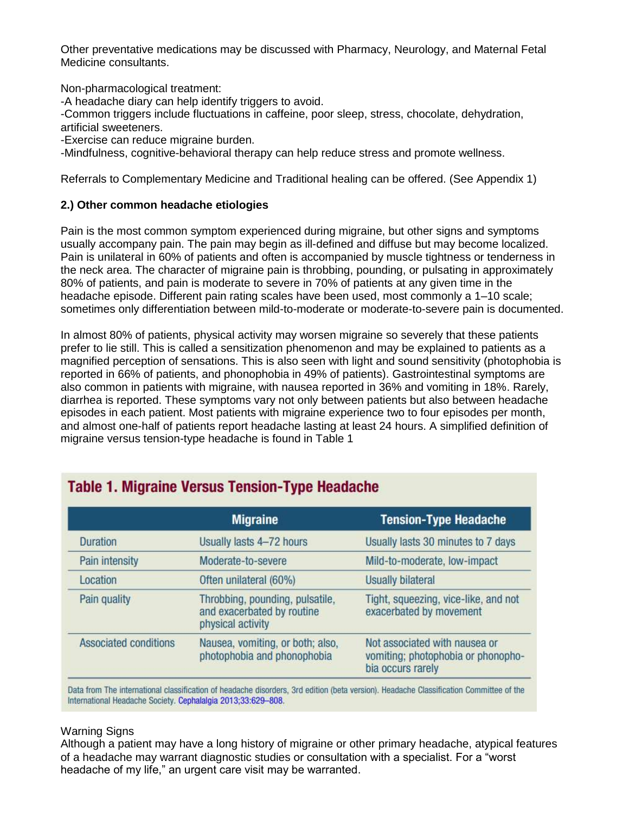Other preventative medications may be discussed with Pharmacy, Neurology, and Maternal Fetal Medicine consultants.

Non-pharmacological treatment:

-A headache diary can help identify triggers to avoid.

-Common triggers include fluctuations in caffeine, poor sleep, stress, chocolate, dehydration, artificial sweeteners.

-Exercise can reduce migraine burden.

-Mindfulness, cognitive-behavioral therapy can help reduce stress and promote wellness.

Referrals to Complementary Medicine and Traditional healing can be offered. (See Appendix 1)

### **2.) Other common headache etiologies**

Pain is the most common symptom experienced during migraine, but other signs and symptoms usually accompany pain. The pain may begin as ill-defined and diffuse but may become localized. Pain is unilateral in 60% of patients and often is accompanied by muscle tightness or tenderness in the neck area. The character of migraine pain is throbbing, pounding, or pulsating in approximately 80% of patients, and pain is moderate to severe in 70% of patients at any given time in the headache episode. Different pain rating scales have been used, most commonly a 1–10 scale; sometimes only differentiation between mild-to-moderate or moderate-to-severe pain is documented.

In almost 80% of patients, physical activity may worsen migraine so severely that these patients prefer to lie still. This is called a sensitization phenomenon and may be explained to patients as a magnified perception of sensations. This is also seen with light and sound sensitivity (photophobia is reported in 66% of patients, and phonophobia in 49% of patients). Gastrointestinal symptoms are also common in patients with migraine, with nausea reported in 36% and vomiting in 18%. Rarely, diarrhea is reported. These symptoms vary not only between patients but also between headache episodes in each patient. Most patients with migraine experience two to four episodes per month, and almost one-half of patients report headache lasting at least 24 hours. A simplified definition of migraine versus tension-type headache is found in Table 1

|                              | <b>Migraine</b>                                                                    | <b>Tension-Type Headache</b>                                                             |
|------------------------------|------------------------------------------------------------------------------------|------------------------------------------------------------------------------------------|
| <b>Duration</b>              | Usually lasts 4-72 hours                                                           | Usually lasts 30 minutes to 7 days                                                       |
| Pain intensity               | Moderate-to-severe                                                                 | Mild-to-moderate, low-impact                                                             |
| Location                     | Often unilateral (60%)                                                             | <b>Usually bilateral</b>                                                                 |
| Pain quality                 | Throbbing, pounding, pulsatile,<br>and exacerbated by routine<br>physical activity | Tight, squeezing, vice-like, and not<br>exacerbated by movement                          |
| <b>Associated conditions</b> | Nausea, vomiting, or both; also,<br>photophobia and phonophobia                    | Not associated with nausea or<br>vomiting; photophobia or phonopho-<br>bia occurs rarely |

# **Table 1. Migraine Versus Tension-Type Headache**

Data from The international classification of headache disorders, 3rd edition (beta version). Headache Classification Committee of the International Headache Society. Cephalalgia 2013;33:629-808.

### Warning Signs

Although a patient may have a long history of migraine or other primary headache, atypical features of a headache may warrant diagnostic studies or consultation with a specialist. For a "worst headache of my life," an urgent care visit may be warranted.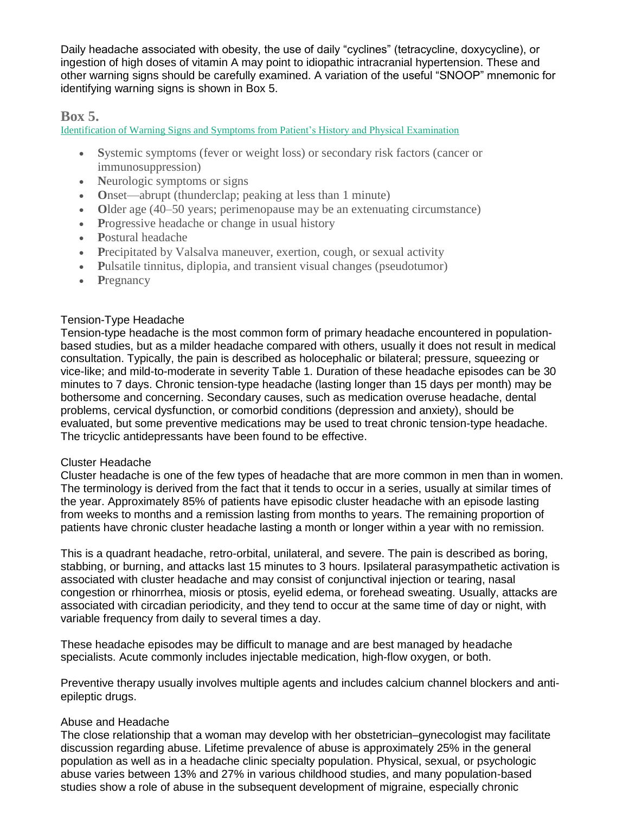Daily headache associated with obesity, the use of daily "cyclines" (tetracycline, doxycycline), or ingestion of high doses of vitamin A may point to idiopathic intracranial hypertension. These and other warning signs should be carefully examined. A variation of the useful "SNOOP" mnemonic for identifying warning signs is shown in Box 5.

## **Box 5.**

Identification of Warning Signs and Symptoms from Patient's History and Physical Examination

- **S**ystemic symptoms (fever or weight loss) or secondary risk factors (cancer or immunosuppression)
- Neurologic symptoms or signs
- Onset—abrupt (thunderclap; peaking at less than 1 minute)
- Older age (40–50 years; perimenopause may be an extenuating circumstance)
- Progressive headache or change in usual history
- **P**ostural headache
- Precipitated by Valsalva maneuver, exertion, cough, or sexual activity
- Pulsatile tinnitus, diplopia, and transient visual changes (pseudotumor)
- Pregnancy

### Tension-Type Headache

Tension-type headache is the most common form of primary headache encountered in populationbased studies, but as a milder headache compared with others, usually it does not result in medical consultation. Typically, the pain is described as holocephalic or bilateral; pressure, squeezing or vice-like; and mild-to-moderate in severity [Table 1.](https://www.acog.org/clinical/journals-and-publications/clinical-updates/2019/07/migraine-and-other-headache-disorders#practice-bulletin-figures-1) Duration of these headache episodes can be 30 minutes to 7 days. Chronic tension-type headache (lasting longer than 15 days per month) may be bothersome and concerning. Secondary causes, such as medication overuse headache, dental problems, cervical dysfunction, or comorbid conditions (depression and anxiety), should be evaluated, but some preventive medications may be used to treat chronic tension-type headache. The tricyclic antidepressants have been found to be effective.

### Cluster Headache

Cluster headache is one of the few types of headache that are more common in men than in women. The terminology is derived from the fact that it tends to occur in a series, usually at similar times of the year. Approximately 85% of patients have episodic cluster headache with an episode lasting from weeks to months and a remission lasting from months to years. The remaining proportion of patients have chronic cluster headache lasting a month or longer within a year with no remission.

This is a quadrant headache, retro-orbital, unilateral, and severe. The pain is described as boring, stabbing, or burning, and attacks last 15 minutes to 3 hours. Ipsilateral parasympathetic activation is associated with cluster headache and may consist of conjunctival injection or tearing, nasal congestion or rhinorrhea, miosis or ptosis, eyelid edema, or forehead sweating. Usually, attacks are associated with circadian periodicity, and they tend to occur at the same time of day or night, with variable frequency from daily to several times a day.

These headache episodes may be difficult to manage and are best managed by headache specialists. Acute commonly includes injectable medication, high-flow oxygen, or both.

Preventive therapy usually involves multiple agents and includes calcium channel blockers and antiepileptic drugs.

### Abuse and Headache

The close relationship that a woman may develop with her obstetrician–gynecologist may facilitate discussion regarding abuse. Lifetime prevalence of abuse is approximately 25% in the general population as well as in a headache clinic specialty population. Physical, sexual, or psychologic abuse varies between 13% and 27% in various childhood studies, and many population-based studies show a role of abuse in the subsequent development of migraine, especially chronic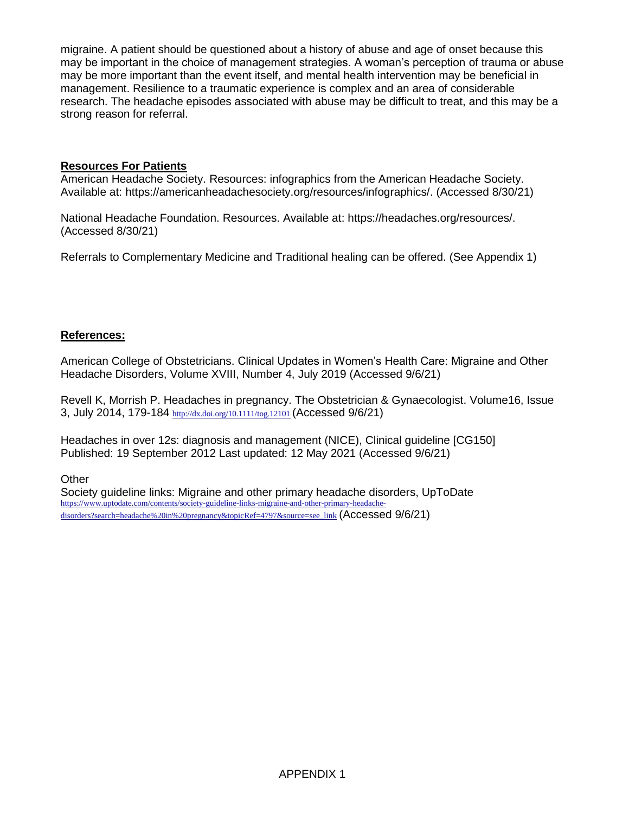migraine. A patient should be questioned about a history of abuse and age of onset because this may be important in the choice of management strategies. A woman's perception of trauma or abuse may be more important than the event itself, and mental health intervention may be beneficial in management. Resilience to a traumatic experience is complex and an area of considerable research. The headache episodes associated with abuse may be difficult to treat, and this may be a strong reason for referral.

### **Resources For Patients**

American Headache Society. Resources: infographics from the American Headache Society. Available at: [https://americanheadachesociety.org/resources/infographics/.](https://americanheadachesociety.org/resources/infographics/) (Accessed 8/30/21)

National Headache Foundation. Resources. Available at: [https://headaches.org/resources/.](https://headaches.org/resources/) (Accessed 8/30/21)

Referrals to Complementary Medicine and Traditional healing can be offered. (See Appendix 1)

### **References:**

American College of Obstetricians. Clinical Updates in Women's Health Care: Migraine and Other Headache Disorders, Volume XVIII, Number 4, July 2019 (Accessed 9/6/21)

Revell K, Morrish P. Headaches in pregnancy. The Obstetrician & Gynaecologist. [Volume16,](https://obgyn.onlinelibrary.wiley.com/toc/17444667/2014/16/3) Issue [3,](https://obgyn.onlinelibrary.wiley.com/toc/17444667/2014/16/3) July 2014, 179-184 <http://dx.doi.org/10.1111/tog.12101> (Accessed 9/6/21)

Headaches in over 12s: diagnosis and management (NICE), Clinical guideline [CG150] Published: 19 September 2012 Last updated: 12 May 2021 (Accessed 9/6/21)

**Other** 

Society guideline links: Migraine and other primary headache disorders, UpToDate [https://www.uptodate.com/contents/society-guideline-links-migraine-and-other-primary-headache](https://www.uptodate.com/contents/society-guideline-links-migraine-and-other-primary-headache-disorders?search=headache%20in%20pregnancy&topicRef=4797&source=see_link)[disorders?search=headache%20in%20pregnancy&topicRef=4797&source=see\\_link](https://www.uptodate.com/contents/society-guideline-links-migraine-and-other-primary-headache-disorders?search=headache%20in%20pregnancy&topicRef=4797&source=see_link) (Accessed 9/6/21)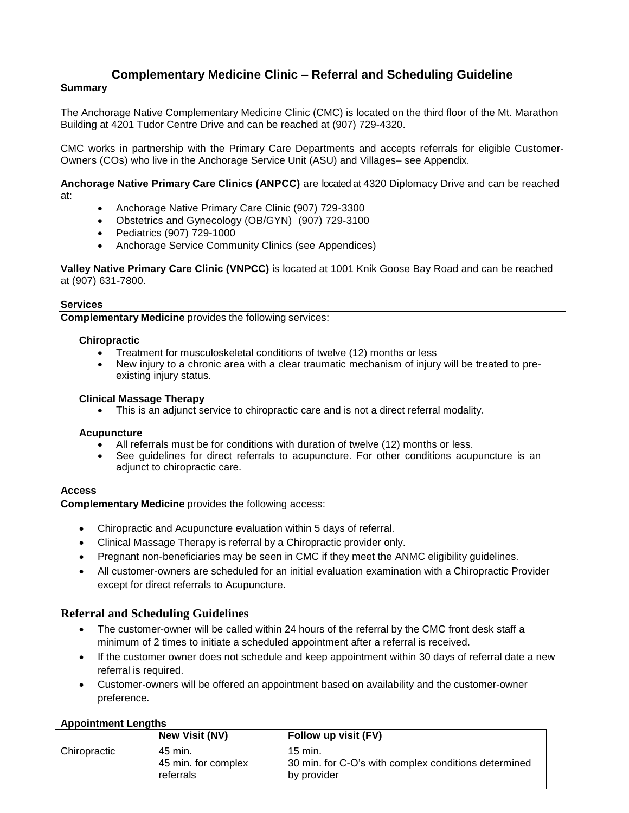# **Complementary Medicine Clinic – Referral and Scheduling Guideline**

#### **Summary**

The Anchorage Native Complementary Medicine Clinic (CMC) is located on the third floor of the Mt. Marathon Building at 4201 Tudor Centre Drive and can be reached at (907) 729-4320.

CMC works in partnership with the Primary Care Departments and accepts referrals for eligible Customer-Owners (COs) who live in the Anchorage Service Unit (ASU) and Villages– see Appendix.

**Anchorage Native Primary Care Clinics (ANPCC)** are located at 4320 Diplomacy Drive and can be reached at:

- Anchorage Native Primary Care Clinic (907) 729-3300
- Obstetrics and Gynecology (OB/GYN) (907) 729-3100
- Pediatrics (907) 729-1000
- Anchorage Service Community Clinics (see Appendices)

**Valley Native Primary Care Clinic (VNPCC)** is located at 1001 Knik Goose Bay Road and can be reached at (907) 631-7800.

#### **Services**

**Complementary Medicine** provides the following services:

#### **Chiropractic**

- Treatment for musculoskeletal conditions of twelve (12) months or less
- New injury to a chronic area with a clear traumatic mechanism of injury will be treated to preexisting injury status.

#### **Clinical Massage Therapy**

This is an adjunct service to chiropractic care and is not a direct referral modality.

#### **Acupuncture**

- All referrals must be for conditions with duration of twelve (12) months or less.
- See guidelines for direct referrals to acupuncture. For other conditions acupuncture is an adjunct to chiropractic care.

#### **Access**

**Complementary Medicine** provides the following access:

- Chiropractic and Acupuncture evaluation within 5 days of referral.
- Clinical Massage Therapy is referral by a Chiropractic provider only.
- Pregnant non-beneficiaries may be seen in CMC if they meet the ANMC eligibility guidelines.
- All customer-owners are scheduled for an initial evaluation examination with a Chiropractic Provider except for direct referrals to Acupuncture.

#### **Referral and Scheduling Guidelines**

- The customer-owner will be called within 24 hours of the referral by the CMC front desk staff a minimum of 2 times to initiate a scheduled appointment after a referral is received.
- If the customer owner does not schedule and keep appointment within 30 days of referral date a new referral is required.
- Customer-owners will be offered an appointment based on availability and the customer-owner preference.

#### **Appointment Lengths**

|              | <b>New Visit (NV)</b>                       | Follow up visit (FV)                                                           |
|--------------|---------------------------------------------|--------------------------------------------------------------------------------|
| Chiropractic | 45 min.<br>45 min. for complex<br>referrals | 15 min.<br>30 min. for C-O's with complex conditions determined<br>by provider |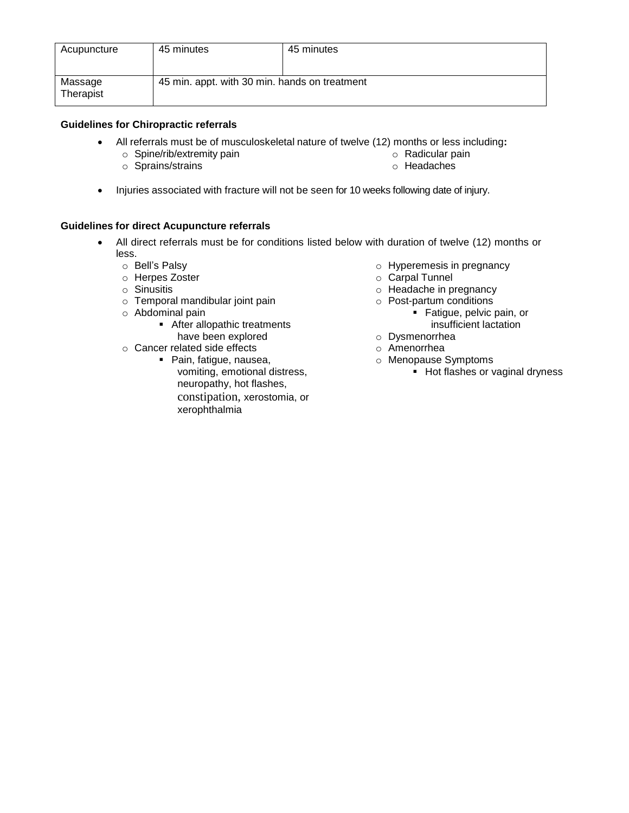| Acupuncture          | 45 minutes                                    | 45 minutes |
|----------------------|-----------------------------------------------|------------|
| Massage<br>Therapist | 45 min. appt. with 30 min. hands on treatment |            |

### **Guidelines for Chiropractic referrals**

- All referrals must be of musculoskeletal nature of twelve (12) months or less including**:**
	- o Spine/rib/extremity pain

o Radicular pain

o Sprains/strains

- o Headaches
- Injuries associated with fracture will not be seen for 10 weeks following date of injury.

### **Guidelines for direct Acupuncture referrals**

- All direct referrals must be for conditions listed below with duration of twelve (12) months or less.
	- o Bell's Palsy
	- o Herpes Zoster
	- o Sinusitis
	- o Temporal mandibular joint pain
	- o Abdominal pain
		- **After allopathic treatments**
		- have been explored
	- o Cancer related side effects ■ Pain, fatigue, nausea, vomiting, emotional distress, neuropathy, hot flashes, constipation, xerostomia, or xerophthalmia
- o Hyperemesis in pregnancy
- o Carpal Tunnel
- o Headache in pregnancy
- o Post-partum conditions
	- **Fatigue, pelvic pain, or** insufficient lactation
- o Dysmenorrhea
- o Amenorrhea
- o Menopause Symptoms
	- **Hot flashes or vaginal dryness**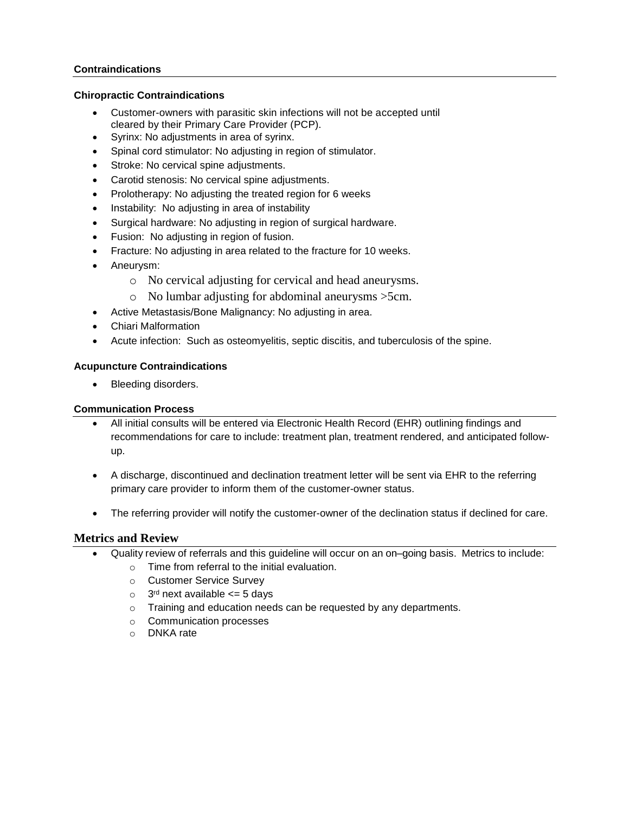#### **Contraindications**

#### **Chiropractic Contraindications**

- Customer-owners with parasitic skin infections will not be accepted until cleared by their Primary Care Provider (PCP).
- Syrinx: No adjustments in area of syrinx.
- Spinal cord stimulator: No adjusting in region of stimulator.
- Stroke: No cervical spine adjustments.
- Carotid stenosis: No cervical spine adjustments.
- Prolotherapy: No adjusting the treated region for 6 weeks
- Instability: No adjusting in area of instability
- Surgical hardware: No adjusting in region of surgical hardware.
- Fusion: No adjusting in region of fusion.
- Fracture: No adjusting in area related to the fracture for 10 weeks.
- Aneurysm:
	- o No cervical adjusting for cervical and head aneurysms.
	- o No lumbar adjusting for abdominal aneurysms >5cm.
- Active Metastasis/Bone Malignancy: No adjusting in area.
- Chiari Malformation
- Acute infection: Such as osteomyelitis, septic discitis, and tuberculosis of the spine.

#### **Acupuncture Contraindications**

Bleeding disorders.

#### **Communication Process**

- All initial consults will be entered via Electronic Health Record (EHR) outlining findings and recommendations for care to include: treatment plan, treatment rendered, and anticipated followup.
- A discharge, discontinued and declination treatment letter will be sent via EHR to the referring primary care provider to inform them of the customer-owner status.
- The referring provider will notify the customer-owner of the declination status if declined for care.

### **Metrics and Review**

- Quality review of referrals and this guideline will occur on an on–going basis. Metrics to include:
	- o Time from referral to the initial evaluation.
	- o Customer Service Survey
	- $\circ$  3<sup>rd</sup> next available  $\leq$  5 days
	- o Training and education needs can be requested by any departments.
	- o Communication processes
	- o DNKA rate